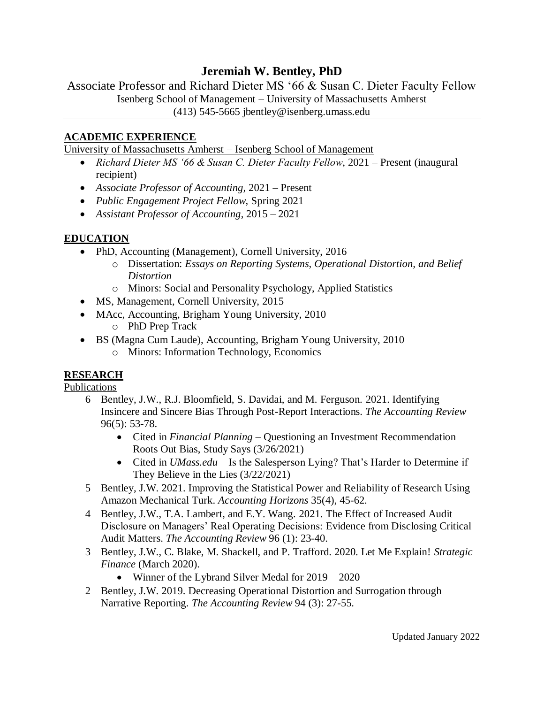# **Jeremiah W. Bentley, PhD**

Associate Professor and Richard Dieter MS '66 & Susan C. Dieter Faculty Fellow Isenberg School of Management – University of Massachusetts Amherst

(413) 545-5665 jbentley@isenberg.umass.edu

### **ACADEMIC EXPERIENCE**

University of Massachusetts Amherst – Isenberg School of Management

- *Richard Dieter MS '66 & Susan C. Dieter Faculty Fellow*, 2021 Present (inaugural recipient)
- *Associate Professor of Accounting,* 2021 Present
- *Public Engagement Project Fellow,* Spring 2021
- *Assistant Professor of Accounting*, 2015 2021

### **EDUCATION**

- PhD, Accounting (Management), Cornell University, 2016
	- o Dissertation: *Essays on Reporting Systems, Operational Distortion, and Belief Distortion*
	- o Minors: Social and Personality Psychology, Applied Statistics
- MS, Management, Cornell University, 2015
- MAcc, Accounting, Brigham Young University, 2010
	- o PhD Prep Track
- BS (Magna Cum Laude), Accounting, Brigham Young University, 2010
	- o Minors: Information Technology, Economics

## **RESEARCH**

Publications

- 6 Bentley, J.W., R.J. Bloomfield, S. Davidai, and M. Ferguson. 2021. Identifying Insincere and Sincere Bias Through Post-Report Interactions. *The Accounting Review* 96(5): 53-78.
	- Cited in *Financial Planning* Questioning an Investment Recommendation Roots Out Bias, Study Says (3/26/2021)
	- Cited in *UMass.edu* Is the Salesperson Lying? That's Harder to Determine if They Believe in the Lies (3/22/2021)
- 5 Bentley, J.W. 2021. Improving the Statistical Power and Reliability of Research Using Amazon Mechanical Turk. *Accounting Horizons* 35(4), 45-62.
- 4 Bentley, J.W., T.A. Lambert, and E.Y. Wang. 2021. The Effect of Increased Audit Disclosure on Managers' Real Operating Decisions: Evidence from Disclosing Critical Audit Matters. *The Accounting Review* 96 (1): 23-40.
- 3 Bentley, J.W., C. Blake, M. Shackell, and P. Trafford. 2020. Let Me Explain! *Strategic Finance* (March 2020).
	- Winner of the Lybrand Silver Medal for  $2019 2020$
- 2 Bentley, J.W. 2019. Decreasing Operational Distortion and Surrogation through Narrative Reporting. *The Accounting Review* 94 (3): 27-55.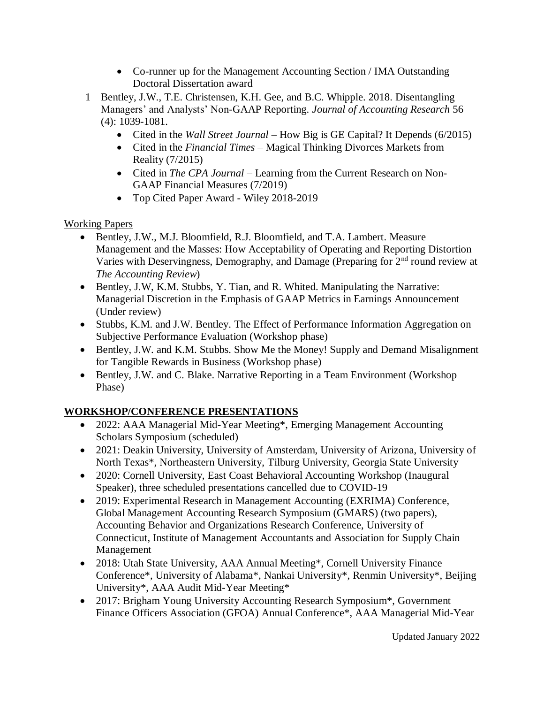- Co-runner up for the Management Accounting Section / IMA Outstanding Doctoral Dissertation award
- 1 Bentley, J.W., T.E. Christensen, K.H. Gee, and B.C. Whipple. 2018. Disentangling Managers' and Analysts' Non-GAAP Reporting. *Journal of Accounting Research* 56 (4): 1039-1081.
	- Cited in the *Wall Street Journal* How Big is GE Capital? It Depends (6/2015)
	- Cited in the *Financial Times* Magical Thinking Divorces Markets from Reality (7/2015)
	- Cited in *The CPA Journal* Learning from the Current Research on Non-GAAP Financial Measures (7/2019)
	- Top Cited Paper Award Wiley 2018-2019

### Working Papers

- Bentley, J.W., M.J. Bloomfield, R.J. Bloomfield, and T.A. Lambert. Measure Management and the Masses: How Acceptability of Operating and Reporting Distortion Varies with Deservingness, Demography, and Damage (Preparing for  $2<sup>nd</sup>$  round review at *The Accounting Review*)
- Bentley, J.W, K.M. Stubbs, Y. Tian, and R. Whited. Manipulating the Narrative: Managerial Discretion in the Emphasis of GAAP Metrics in Earnings Announcement (Under review)
- Stubbs, K.M. and J.W. Bentley. The Effect of Performance Information Aggregation on Subjective Performance Evaluation (Workshop phase)
- Bentley, J.W. and K.M. Stubbs. Show Me the Money! Supply and Demand Misalignment for Tangible Rewards in Business (Workshop phase)
- Bentley, J.W. and C. Blake. Narrative Reporting in a Team Environment (Workshop Phase)

## **WORKSHOP/CONFERENCE PRESENTATIONS**

- 2022: AAA Managerial Mid-Year Meeting\*, Emerging Management Accounting Scholars Symposium (scheduled)
- 2021: Deakin University, University of Amsterdam, University of Arizona, University of North Texas\*, Northeastern University, Tilburg University, Georgia State University
- 2020: Cornell University, East Coast Behavioral Accounting Workshop (Inaugural Speaker), three scheduled presentations cancelled due to COVID-19
- 2019: Experimental Research in Management Accounting (EXRIMA) Conference, Global Management Accounting Research Symposium (GMARS) (two papers), Accounting Behavior and Organizations Research Conference, University of Connecticut, Institute of Management Accountants and Association for Supply Chain Management
- 2018: Utah State University, AAA Annual Meeting\*, Cornell University Finance Conference\*, University of Alabama\*, Nankai University\*, Renmin University\*, Beijing University\*, AAA Audit Mid-Year Meeting\*
- 2017: Brigham Young University Accounting Research Symposium\*, Government Finance Officers Association (GFOA) Annual Conference\*, AAA Managerial Mid-Year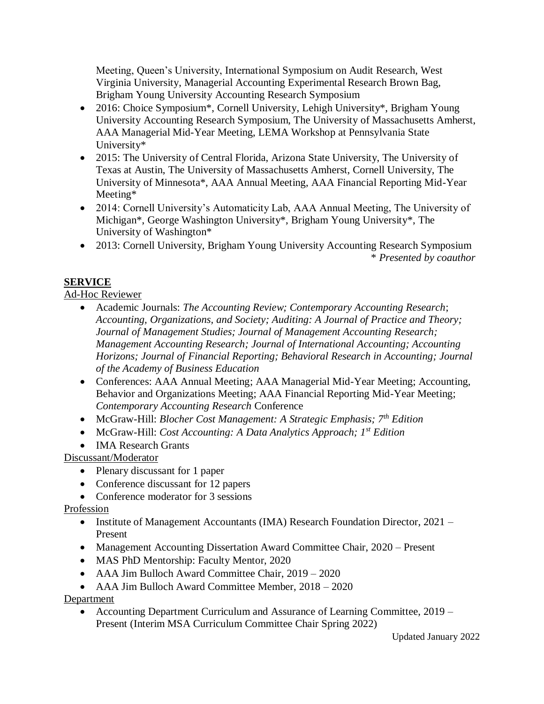Meeting, Queen's University, International Symposium on Audit Research, West Virginia University, Managerial Accounting Experimental Research Brown Bag, Brigham Young University Accounting Research Symposium

- 2016: Choice Symposium\*, Cornell University, Lehigh University\*, Brigham Young University Accounting Research Symposium, The University of Massachusetts Amherst, AAA Managerial Mid-Year Meeting, LEMA Workshop at Pennsylvania State University\*
- 2015: The University of Central Florida, Arizona State University, The University of Texas at Austin, The University of Massachusetts Amherst, Cornell University, The University of Minnesota\*, AAA Annual Meeting, AAA Financial Reporting Mid-Year Meeting\*
- 2014: Cornell University's Automaticity Lab, AAA Annual Meeting, The University of Michigan\*, George Washington University\*, Brigham Young University\*, The University of Washington\*
- 2013: Cornell University, Brigham Young University Accounting Research Symposium \* *Presented by coauthor*

## **SERVICE**

Ad-Hoc Reviewer

- Academic Journals: *The Accounting Review; Contemporary Accounting Research*; *Accounting, Organizations, and Society; Auditing: A Journal of Practice and Theory; Journal of Management Studies; Journal of Management Accounting Research; Management Accounting Research; Journal of International Accounting; Accounting Horizons; Journal of Financial Reporting; Behavioral Research in Accounting; Journal of the Academy of Business Education*
- Conferences: AAA Annual Meeting; AAA Managerial Mid-Year Meeting; Accounting, Behavior and Organizations Meeting; AAA Financial Reporting Mid-Year Meeting; *Contemporary Accounting Research* Conference
- McGraw-Hill: *Blocher Cost Management: A Strategic Emphasis; 7th Edition*
- McGraw-Hill: *Cost Accounting: A Data Analytics Approach;* 1<sup>*st*</sup> *Edition*
- IMA Research Grants

Discussant/Moderator

- Plenary discussant for 1 paper
- Conference discussant for 12 papers
- Conference moderator for 3 sessions

Profession

- Institute of Management Accountants (IMA) Research Foundation Director, 2021 Present
- Management Accounting Dissertation Award Committee Chair, 2020 Present
- MAS PhD Mentorship: Faculty Mentor, 2020
- AAA Jim Bulloch Award Committee Chair, 2019 2020
- AAA Jim Bulloch Award Committee Member, 2018 2020

Department

• Accounting Department Curriculum and Assurance of Learning Committee, 2019 – Present (Interim MSA Curriculum Committee Chair Spring 2022)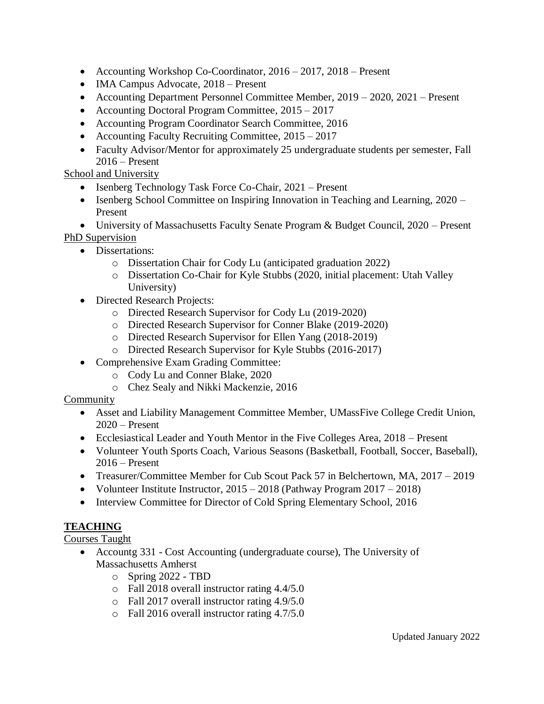- Accounting Workshop Co-Coordinator, 2016 2017, 2018 Present
- IMA Campus Advocate, 2018 Present
- Accounting Department Personnel Committee Member, 2019 2020, 2021 Present
- Accounting Doctoral Program Committee, 2015 2017
- Accounting Program Coordinator Search Committee, 2016
- Accounting Faculty Recruiting Committee,  $2015 2017$
- Faculty Advisor/Mentor for approximately 25 undergraduate students per semester, Fall 2016 – Present

School and University

- Isenberg Technology Task Force Co-Chair, 2021 Present
- Isenberg School Committee on Inspiring Innovation in Teaching and Learning, 2020 Present

• University of Massachusetts Faculty Senate Program & Budget Council, 2020 – Present PhD Supervision

- Dissertations:
	- o Dissertation Chair for Cody Lu (anticipated graduation 2022)
	- o Dissertation Co-Chair for Kyle Stubbs (2020, initial placement: Utah Valley University)
- Directed Research Projects:
	- o Directed Research Supervisor for Cody Lu (2019-2020)
	- o Directed Research Supervisor for Conner Blake (2019-2020)
	- o Directed Research Supervisor for Ellen Yang (2018-2019)
	- o Directed Research Supervisor for Kyle Stubbs (2016-2017)
- Comprehensive Exam Grading Committee:
	- o Cody Lu and Conner Blake, 2020
	- o Chez Sealy and Nikki Mackenzie, 2016

## Community

- Asset and Liability Management Committee Member, UMassFive College Credit Union, 2020 – Present
- Ecclesiastical Leader and Youth Mentor in the Five Colleges Area, 2018 Present
- Volunteer Youth Sports Coach, Various Seasons (Basketball, Football, Soccer, Baseball), 2016 – Present
- Treasurer/Committee Member for Cub Scout Pack 57 in Belchertown, MA, 2017 2019
- Volunteer Institute Instructor,  $2015 2018$  (Pathway Program  $2017 2018$ )
- Interview Committee for Director of Cold Spring Elementary School, 2016

## **TEACHING**

Courses Taught

- Accountg 331 Cost Accounting (undergraduate course), The University of Massachusetts Amherst
	- o Spring 2022 TBD
	- o Fall 2018 overall instructor rating 4.4/5.0
	- o Fall 2017 overall instructor rating 4.9/5.0
	- o Fall 2016 overall instructor rating 4.7/5.0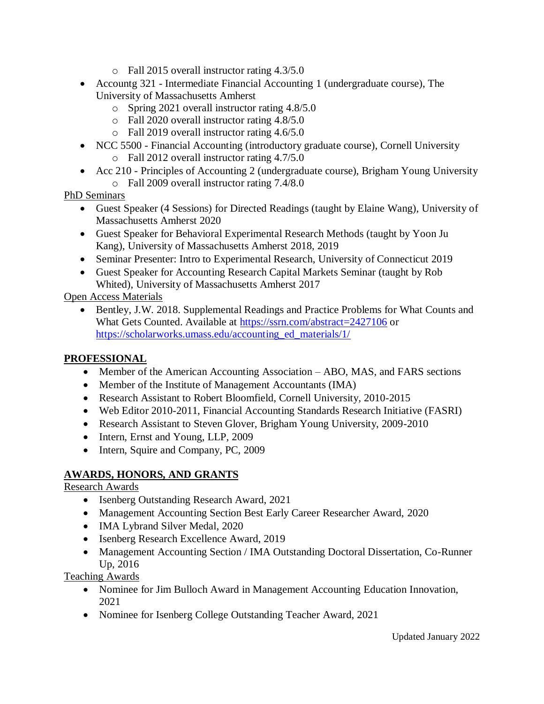- o Fall 2015 overall instructor rating 4.3/5.0
- Accountg 321 Intermediate Financial Accounting 1 (undergraduate course), The University of Massachusetts Amherst
	- o Spring 2021 overall instructor rating 4.8/5.0
	- o Fall 2020 overall instructor rating 4.8/5.0
	- o Fall 2019 overall instructor rating 4.6/5.0
- NCC 5500 Financial Accounting (introductory graduate course), Cornell University o Fall 2012 overall instructor rating 4.7/5.0
- Acc 210 Principles of Accounting 2 (undergraduate course), Brigham Young University
	- o Fall 2009 overall instructor rating 7.4/8.0

PhD Seminars

- Guest Speaker (4 Sessions) for Directed Readings (taught by Elaine Wang), University of Massachusetts Amherst 2020
- Guest Speaker for Behavioral Experimental Research Methods (taught by Yoon Ju Kang), University of Massachusetts Amherst 2018, 2019
- Seminar Presenter: Intro to Experimental Research, University of Connecticut 2019
- Guest Speaker for Accounting Research Capital Markets Seminar (taught by Rob Whited), University of Massachusetts Amherst 2017

Open Access Materials

• Bentley, J.W. 2018. Supplemental Readings and Practice Problems for What Counts and What Gets Counted. Available at<https://ssrn.com/abstract=2427106> or [https://scholarworks.umass.edu/accounting\\_ed\\_materials/1/](https://scholarworks.umass.edu/accounting_ed_materials/1/)

## **PROFESSIONAL**

- Member of the American Accounting Association ABO, MAS, and FARS sections
- Member of the Institute of Management Accountants (IMA)
- Research Assistant to Robert Bloomfield, Cornell University, 2010-2015
- Web Editor 2010-2011, Financial Accounting Standards Research Initiative (FASRI)
- Research Assistant to Steven Glover, Brigham Young University, 2009-2010
- Intern, Ernst and Young, LLP, 2009
- Intern, Squire and Company, PC, 2009

## **AWARDS, HONORS, AND GRANTS**

Research Awards

- Isenberg Outstanding Research Award, 2021
- Management Accounting Section Best Early Career Researcher Award, 2020
- IMA Lybrand Silver Medal, 2020
- Isenberg Research Excellence Award, 2019
- Management Accounting Section / IMA Outstanding Doctoral Dissertation, Co-Runner Up, 2016

Teaching Awards

- Nominee for Jim Bulloch Award in Management Accounting Education Innovation, 2021
- Nominee for Isenberg College Outstanding Teacher Award, 2021